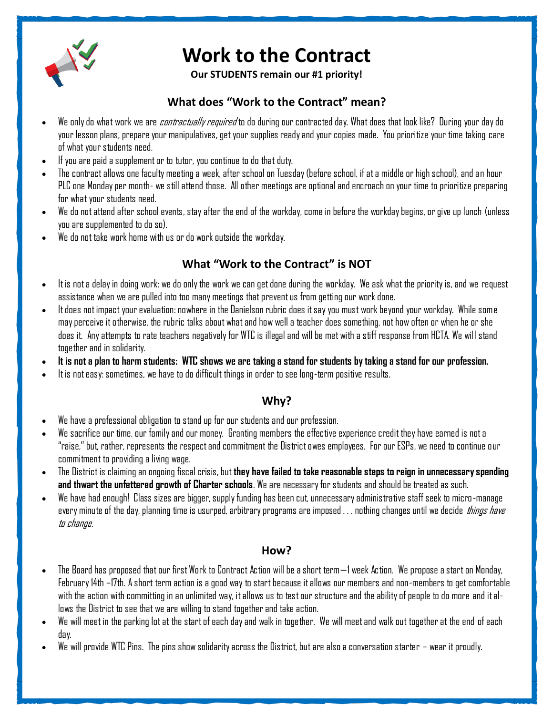

# **Work to the Contract**

**Our STUDENTS remain our #1 priority!**

# **What does "Work to the Contract" mean?**

- We only do what work we are *contractually required* to do during our contracted day. What does that look like? During your day do your lesson plans, prepare your manipulatives, get your supplies ready and your copies made. You prioritize your time taking care of what your students need.
- If you are paid a supplement or to tutor, you continue to do that duty.
- The contract allows one faculty meeting a week, after school on Tuesday (before school, if at a middle or high school), and an hour PLC one Monday per month- we still attend those. All other meetings are optional and encroach on your time to prioritize preparing for what your students need.
- We do not attend after school events, stay after the end of the workday, come in before the workday begins, or give up lunch (unless you are supplemented to do so).
- We do not take work home with us or do work outside the workday.

# **What "Work to the Contract" is NOT**

- It is not a delay in doing work: we do only the work we can get done during the workday. We ask what the priority is, and we request assistance when we are pulled into too many meetings that prevent us from getting our work done.
- It does not impact your evaluation: nowhere in the Danielson rubric does it say you must work beyond your workday. While some may perceive it otherwise, the rubric talks about what and how well a teacher does something, not how often or when he or she does it. Any attempts to rate teachers negatively for WTC is illegal and will be met with a stiff response from HCTA. We will stand together and in solidarity.
- **It is not a plan to harm students: WTC shows we are taking a stand for students by taking a stand for our profession.**
- It is not easy: sometimes, we have to do difficult things in order to see long-term positive results.

## **Why?**

- We have a professional obligation to stand up for our students and our profession.
- We sacrifice our time, our family and our money. Granting members the effective experience credit they have earned is not a "raise," but, rather, represents the respect and commitment the District owes employees. For our ESPs, we need to continue our commitment to providing a living wage.
- The District is claiming an ongoing fiscal crisis, but **they have failed to take reasonable steps to reign in unnecessary spending and thwart the unfettered growth of Charter schools**. We are necessary for students and should be treated as such.
- We have had enough! Class sizes are bigger, supply funding has been cut, unnecessary administrative staff seek to micro-manage every minute of the day, planning time is usurped, arbitrary programs are imposed . . . nothing changes until we decide *things have* to change.

#### **How?**

- The Board has proposed that our first Work to Contract Action will be a short term—1 week Action. We propose a start on Monday, February 14th –17th. A short term action is a good way to start because it allows our members and non-members to get comfortable with the action with committing in an unlimited way, it allows us to test our structure and the ability of people to do more and it allows the District to see that we are willing to stand together and take action.
- We will meet in the parking lot at the start of each day and walk in together. We will meet and walk out together at the end ofeach day.
- We will provide WTC Pins. The pins show solidarity across the District, but are also a conversation starter wear it proudly.